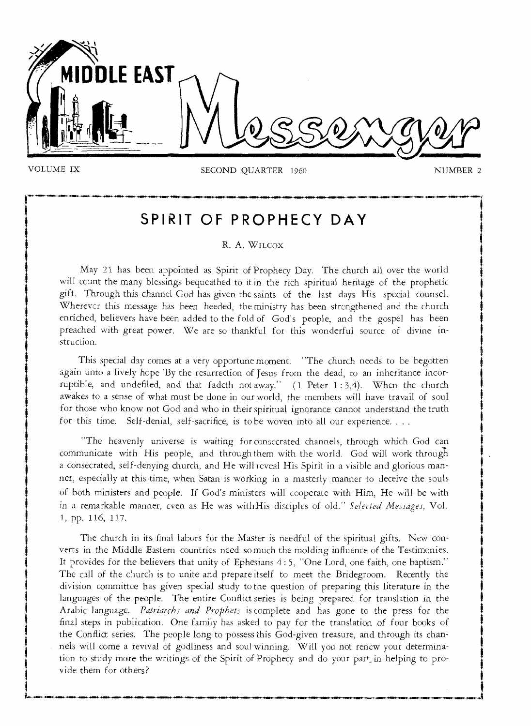

"MY

VOLUME IX SECOND QUARTER 1960 NUMBER 2

# **SPIRIT OF PROPHECY DAY**

### R. A. WILCOX

May 21 has been appointed as Spirit of Prophecy Day. The church all over the world will ccunt the many blessings bequeathed to it in the rich spiritual heritage of the prophetic gift, Through this channel God has given the saints of the last days His special counsel. Wherever this message has been heeded, the ministry has been strengthened and the church enriched, believers have been added to the fold of God's people, and the gospel has been preached with great power. We are so thankful for this wonderful source of divine instruction.

This special day comes at a very opportune moment. "The church needs to be begotten again unto a lively hope 'By the resurrection of Jesus from the dead, to an inheritance incorruptible, and undefiled, and that fadeth not away."  $(1$  Peter 1:3,4). When the church awakes to a sense of what must be done in our world, the members will have travail of soul for those who know not God and who in their spiritual ignorance cannot understand the truth for this time. Self-denial, self-sacrifice, is to be woven into all our experience. . . .

"The heavenly universe is waiting for consecrated channels, through which God can communicate with His people, and through them with the world. God will work through a consecrated, self-denying church, and He will reveal His Spirit in a visible and glorious manner, especially at this time, when Satan is working in a masterly manner to deceive the souls of both ministers and people. If God's ministers will cooperate with Him, He will be with in a remarkable manner, even as He was with His disciples of old." *Selected Messages,* Vol. 1, pp. 116, 117.

The church in its final labors for the Master is needful of the spiritual gifts. New converts in the Middle Eastern countries need so much the molding influence of the Testimonies. It provides for the believers that unity of Ephesians 4 : 5, "One Lord, one faith, one baptism." The call of the church is to unite and prepare itself to meet the Bridegroom. Recently the division committee has given special study to the question of preparing this literature in the languages of the people. The entire Conflict series is being prepared for translation in the Arabic language. *Patriarchs and Prophets* is complete and has gone to the press for the final steps in publication. One family has asked to pay for the translation of four books of the Conflict series. The people long to possess this God-given treasure, and through its channels will come a revival of godliness and soul winning. Will you not renew your determination to study more the writings of the Spirit of Prophecy and do your part<sub>in</sub> helping to provide them for others?

**to•—••••••-4111•11.44•00-441•11.-1....•1. 441•41-40••••-.1...m...mol•-••=0•••••••** 4115••-•••••••••".... -441•141.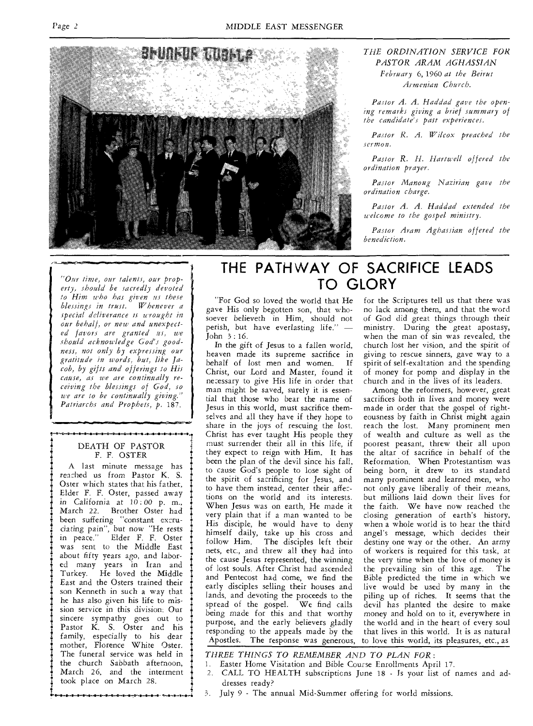

#### *THE ORDINATION SERVICE FOR PASTOR ARAM AGHASSIAN February* 6, 1960 *at the Beirut Armenian Church.*

*Pastor A. A. Haddad gave the opening remarks giving a brief summary of the candidate's past experiences.* 

*Pastor R. A. Wilcox preached the sermon.* 

*Pastor R. H. Hartwell offered the ordination prayer.* 

*Pastor Manoug Nazirian gave the ordination charge.* 

*Pastor A. A. Haddad extended the welcome to the gospel ministry.* 

*Pastor Aram Aghassian offered the benediction.* 

*erty, should be sacredly devoted to Him who has given us these blessings in trust. Whenever a special deliverance is wrought in our behalf, or new and unexpected favors are granted us, we should acknowledge God's goodness, not only by expressing our gratitude in words, but, like Jacob, by gifts and offerings to His cause, as we are continually receiving the blessings of God, so we are to be continually giving." Patriarchs and Prophets, p.* 187.

#### DEATH OF PASTOR F. F. OSTER ,....................•••••o•••••—.•••••••-•••••••••••••••••••••••••

A last minute message has reached *us* from Pastor K. S. Oster which states that his father, Elder F. F. Oster, passed away in California *at 10:00* p. m., March 22. Brother Oster had been suffering "constant excru*dating pain",* but now "He rests in peace." Elder F. F. Oster was sent to the Middle East about fifty years ago, and labored many years in Iran and Turkey. He loved the Middle East and the Osters trained their son Kenneth in such a way that he has also given his life to mission service in this division. Our sincere sympathy goes out to Pastor K. S. Oster and his family, especially to his dear mother, Florence White Oster. The funeral service was held in the church Sabbath afternoon, March 26, and the interment took place on March 28.

## THE PATHWAY OF SACRIFICE LEADS TO GLORY *"Our time, our talents, our prop-*

"For God so loved the world that He gave His only begotten son, that whosoever believeth in Him, should not perish, but have everlasting life." — John 3 : 16.

In the gift of Jesus to a fallen world, heaven made its supreme sacrifice in behalf of lost men and women. Christ, our Lord and Master, found it necessary to give His life in order that man might be saved, surely it is essential that those who bear the name of Jesus in this world, must sacrifice themselves and all they have if they hope to share in the joys of rescuing the lost. Christ has ever taught His people they must surrender their all in this life, if they expect to reign with Him. It has been the plan of the devil since his fall, to cause God's people to lose sight of the spirit of sacrificing for Jesus, and to have them instead, center their affections on the world and its interests. When Jesus was on earth, He made it very plain that if a man wanted to be His disciple, he would have to deny himself daily, take up his cross and follow Him. The disciples left their nets, etc., and threw all they had into the cause Jesus represented, the winning of lost souls. After Christ had ascended and Pentecost had come, we find the early disciples selling their houses and lands, and devoting the proceeds to the spread of the gospel. We find calls being made for this and that worthy purpose, and the early believers gladly responding to the appeals made by the Apostles. The response was generous,

for the Scriptures tell us that there was no lack among them, and that the word of God did great things through their ministry. During the great apostasy, when the man of sin was revealed, the church lost her vision, and the spirit of giving to rescue sinners, gave way to a spirit of self-exaltation and the spending of money for pomp and display in the church and in the lives of its leaders.

Among the reformers, however, great sacrifices both in lives and money were made in order that the gospel of righteousness by faith in Christ might again reach the lost. Many prominent men of wealth and culture as well as the poorest peasant, threw their all upon the altar of sacrifice in behalf of the Reformation. When Protestantism was being born, it drew to its standard many prominent and learned men, who not only gave liberally of their means, but millions laid down their lives for the faith. We have now reached the closing generation of earth's history, when a whole world is to hear the third angel's message, which decides their destiny one way or the other. An army of workers is required for this task, at the very time when the love of money is<br>the prevailing sin of this age. The the prevailing sin of this age. Bible predicted the time in which we live would be used by many in the piling up of riches. It seems that the devil has planted the desire to make money and hold on to it, everywhere in the world and in the heart of every soul that lives in this world. It is as natural to love this world, its pleasures, etc., as

*THREE THINGS TO REMEMBER AND TO PLAN FOR:* 

- 1. Easter Home Visitation and Bible Couzse Enrollments April 17.
- 2. CALL TO HEALTH subscriptions June 18 Is your list of names and addresses ready?
- 3. July 9 The annual Mid-Summer offering for world missions.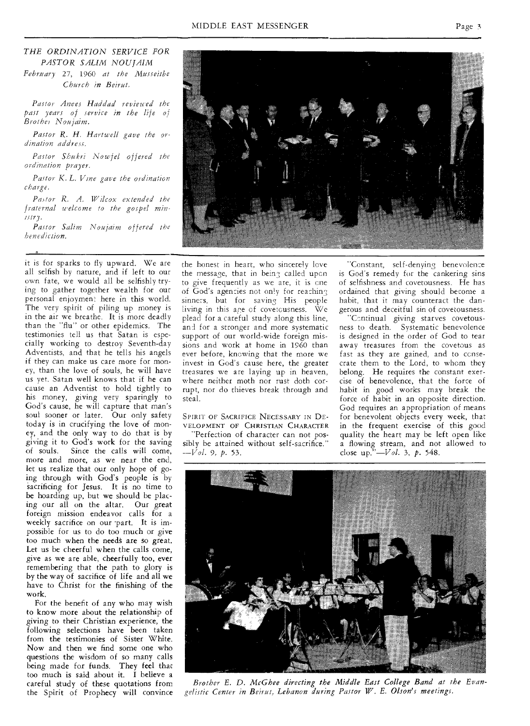*February* 27, 1960 *at the Musseitbe Church in Beirut.* 

*Pastor Anees Haddad reviewed the past years of service in the life of Brothel Noujaim.* 

*Pastor R. H. Hartwell gave the ordination address.* 

*Pastor Shukri Nowfel offered the ordination prayer.* 

*Pastor K. L. Vine gave the ordination charge.* 

*Pastor R. A. Wilcox extended the fraternal welcome to the gospel ministry.* 

*Pastor Salim Noujaim offered the benediction.* 

it is for sparks to fly upward. We are all selfish by nature, and if left to our own fate, we would all be selfishly trying **to** gather together wealth for our personal enjoyment here in this world. The very spirit of piling up money is in the air we breathe. It is more deadly than the "flu" or other epidemics. The testimonies tell us that Satan is especially working to destroy Seventh-day Adventists, and that he tells his angels if they can make us care more for money, than the love of souls, he will have us yet. Satan well knows that if he can cause an Adventist to hold tightly to his money, giving very sparingly to God's cause, he will capture that man's soul sooner or later. Our only safety today is in crucifying the love of money, and the only way to do that is by giving it to God's work for the saving of souls. Since the calls will come, more and more, as we near the end, let us realize that our only hope of going through with God's people is by sacrificing for Jesus. It is no time to be hoarding up, but we should be placing our all on the altar. Our great foreign mission endeavor calls for a weekly sacrifice on our part. It is impossible for us to do too much or give too much when the needs are so great. Let us be cheerful when the calls come, give as we are able, cheerfully too, ever remembering that the path to glory is by the way of sacrifice of life and all we have to Christ for **the** finishing of the work.

For the benefit of any who may wish to know more about the relationship of giving to their Christian experience, the following selections have been taken from the testimonies of Sister White. Now and then we find some one who questions the wisdom of so many calls being made for funds. They feel that too much is said about it. I believe a

the honest in heart, who sincerely love the message, that **in being called upcn**  to give frequently **as we are,** it is **cne**  of God's agencies **not only for reaching**  sinners, but **for saving** His **people**  living in this **age of** covetcusness. **We**  plead for *a.* **careful study** along this line, and for a stronger and more systematic support of **our** world-wide foreign missions and work at home in 1960 than ever before, knowing that the more we invest in God's cause here, the greater treasures we are laying up in heaven, where neither moth nor rust doth corrupt, nor do thieves break through and steal.

sibly be attained without self-sacrifice." *—Vol.* 9, *p.* 53.

"Constant, self-denying benevolence is God's remedy for the cankering sins of selfishness and covetousness. He has ordained that giving should become a habit, that it may counteract the dangerous and deceitful sin of covetousness. "Continual giving starves covetousness to death. Systematic benevolence is designed in the order of God to tear away treasures from the covetous *as*  fast as they are gained, and to consecrate them to the Lord, to whom they belong. He requires the constant exercise of benevolence, that the force of habit in good works may break the force of habit in an opposite direction. God requires an appropriation of means for benevolent objects every week, that in the frequent exercise of this good quality the heart may be left open like a flowing stream, and not allowed to





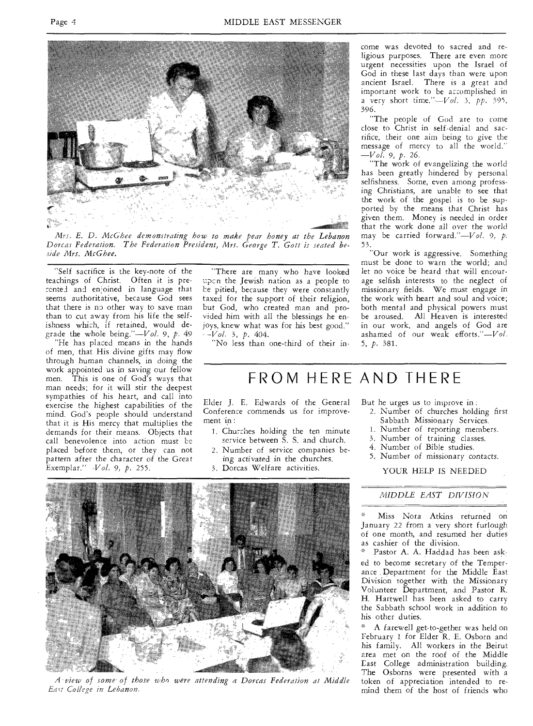

*Mrs. E. D. McGhee demonstrating how to make pear honey at the Lebanon Dorcas Federation. The Federation President, Mrs. George T. Gott is seated beside Mrs. McGhee.* 

"Self sacrifice is the key-note of the teachings of Christ. Often it is prerented and en;joined in language that seems authoritative, because God sees that there is no other way to save man than to cut away from his life the selfishness which, if retained, would degrade the whole *being."—Vol.* 9, *p.* 49

"He has placed means in the hands of men, that His divine gifts may flow through human channels, in doing the work appointed us in saving our fellow men. This is one of God's ways that man needs; for it will stir the deepest sympathies of his heart, and call into exercise the highest capabilities of the mind. God's people should understand that it is His mercy that multiplies the demands for their means. Objects that call benevolence into action must be placed before them, or they can not pattern after the character of the Great Exemplar." *-Vol.* 9, *p.* 255.

"There are many who have looked upon the Jewish nation as a people to be pitied, because they were constantly taxed for the support of their religion, but God, who created man and provided him with all the blessings he enjoys, knew what was for his best good." - *-Vol.* 3, *p.* 404.

"No less than one-third of their in-

come was devoted to sacred and religious purposes. There are even more urgent necessities upon the Israel of God in these last days than were upon ancient Israel. There is a great and important work to be accomplished in a very short time."—Vol. 3, *pp.* 395, 396.

"The people of God are to come close to Christ in self-denial and sacrifice, their one aim being to give the message of mercy to all the world.' *-Vol.* 9, *p.* 26.

"The work of evangelizing the world has been greatly hindered by personal selfishness. Some, even among professing Christians, are unable to see that the work of the gospel is to be supported by the means that Christ has given them. Money is needed in order that the work done all over the world may be carried forward."—Vol. 9, *p.*  53.

"Our work is aggressive. Something must be done to warn the world; and let no voice be heard that will encourage selfish interests to the neglect of missionary fields. We must engage in the work with heart and soul and voice; both mental and physical powers must be aroused. All Heaven is interested in our work, and angels of God are ashamed of our weak efforts."—Vol. 5, *p.* 381.

# FROM HERE AND THERE

Elder J. E. Edwards of the General Conference commends us for improvement in :

- 1. Churches holding the ten minute service between S. S. and church.
- 2. Number of service companies be-
- ing activated in the churches.
- 3. Dorcas Welfare activities.

But he urges us to improve in :

- 2. Number of churches holding first Sabbath Missionary Services.
- 1. Number of reporting members.
- 3. Number of training classes.
- 4. Number of Bible studies.
- 5. Number of missionary contacts.

YOUR HELP IS NEEDED

#### *MIDDLE EAST DIVISION*

Miss Nora Atkins returned on January 22 from a very short furlough of one month, and resumed her duties as cashier of the division.

Pastor A. A. Haddad has been asked to become secretary of the Temperance Department for the Middle East Division together with the Missionary Volunteer Department, and Pastor R. H. Hartwell has been asked to carry the Sabbath school work in addition to his other duties.

\* A farewell get-to-gether was held on February 1 for Elder R. E. Osborn and his family. All workers in the Beirut area met on the roof of the Middle Last College administration building. The Osborns were presented with a token of appreciation intended to remind them of the host of friends who



*A view of some of those who were attending a Dorcas Federation at Middle Earl College in Lebanon.*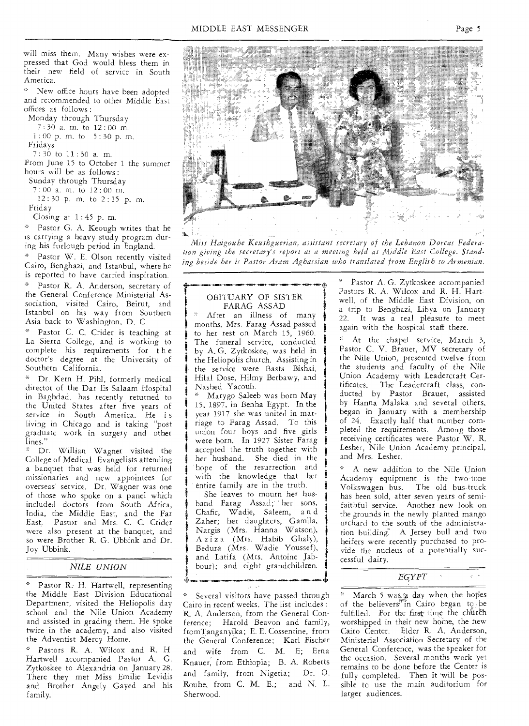will miss them. Many wishes were expressed that God would bless them in their new field of service in South America.

New office hours have been adopted **and** recommended to other Middle East **offices** as follows :

**Monday** through Thursday

7 : 30 a. m. to 12 : 00 m.

1 : **00 p. m. to 5 : 30** p. m. **Fridays** 

7 : 30 to 11 : 30 **a. m.** 

**From** June 15 to October 1 the summer hours will be as follows :

**Sunday** through Thursday 7 : 00 a. m. to 12 : 00 m.

**12 : 30** p. m. **to 2 :** 15 p. m. Friday

Closing at  $1:45$  p.m.

Pastor G. A. Keough writes that he is carrying a heavy study program during his furlough period in England.

Pastor W. E. Olson recently visited Cairo, Benghazi, and Istanbul, where he is reported to have carried inspiration.

Pastor R. A. Anderson, secretary of the General Conference Ministerial Association, visited Cairo, Beirut, and Istanbul on his way from Southern Asia back to Washington, **D. C.** 

\* Pastor C. C. Crider is teaching at La Sierra College, and is working to complete his requirements for t h e doctor's degree at the University of Southern California.

\* Dr. Kern H. Pihi, formerly medical director of the Dar Es Salaam Hospital in Baghdad, has recently returned to the United States after five years of service in South America. He is **living** in Chicago and is taking "post **graduate** work in surgery and other **lines."** 

**\* Dr.** Willian Wagner visited the College of Medical Evangelists attending a banquet that was held for returned missionaries **and** new appointees for **overseas' service.** Dr. Wagner was one of those who spoke on a panel which included doctors from South Africa, India, the Middle East, and the Far East. Pastor and Mrs. C. C. Crider **were** also present at the banquet, and so were Brother R. G. Ubbink and Dr. Joy Ubbink. .

#### *NILE UNION*

Pastor R.- H. Hartwell, representing the Middle East Division Educational Department, visited the Heliopolis day school and the Nile Union Academy and assisted in grading them. He spoke twice in the academy, and also visited the Adventist Mercy Home.

\* Pastors R. A. Wilcox and R. H Hartwell accompanied Pastor A. G. Zytkoskee to Alexandria on January 28. There they met Miss Emilie Levidis and Brother Angely Gayed and his family.



*Miss Haigonhe Keushguerian, assistant secretary of the Lebanon Dorcas Federation giving the secretary's report at a meeting held at Middle East College. Standing beside her is Pastor Aram Aghassian who translated from English to Armenian.* 

#### OBITUARY OF SISTER FARAG ASSAD

\* After an illness of many months, Mrs. Farag Assad passed to her rest on March 15, 1960. The funeral service, conducted by A. G. Zytkoskee, was held in the Heliopolis church. Assisting in the service were Basta Bishai, Hilal Dose, Hilmy Berbawy, and Nashed Yacoub.

Marygo Saleeb was born May **<sup>f</sup>**15, **1897,** in Benha Egypt. In the year 1917 she was united in marriage to Farag Assad. To this union four boys and five girls were born. In 1927 Sister Farag accepted the truth together with her husband. She died in the hope of the resurrection and with the knowledge that her entire family are in the truth.

She leaves to mourn her husband Farag Assad; her sons, Chafic, Wadie, Saleem, a n d Zaher; her daughters, Gamila, Nargis (Mrs. Hanna Watson), A z i z a (Mrs. Habib **Ghaly),**  Bedura (Mrs. Wadie Youssef), and Latifa (Mrs. Antoine Jab bour); and eight grandchildren.

Several visitors have passed through Cairo in recent weeks. The list includes : R. A. Anderson, from the General Conference; Harold Beavon and family, fromTanganyika; E. E. Cossentine, from the General Conference; Karl Fischer and wife from C. M. E; Erna Knauer, from Ethiopia; **B.** A. Roberts and family, from Nigeria; Dr. **0.**  Rouhe, from C. M. E.; and N. L. Sherwood.

Pastor A. G. Zytkoskee accompanied Pastors R. A. Wilcox and R. H. Hartwell, of the Middle East Division, on **a** trip to Benghazi, Libya on January **22.** It was a real pleasure to meet **again** with the hospital staff there.

At the chapel service, March 3, Pastor C. V. Brauer, MV secretary of the Nile Union, presented twelve from the students and faculty of the Nile Union Academy with Leadercraft Certificates. The Leadercraft class, conducted by Pastor Brauer, assisted by Hanna Malaka and several others, began in January with a membership of 24. Exactly half that number completed the requirements. Among those receiving certificates were Pastor W. R. Lesher, Nile Union Academy principal, and Mrs. Lesher.

**\* A** new addition to the Nile **Union Academy** equipment is the two-tone Volkswagen bus. The old bus-truck has been sold, after seven years of semifaithful service. Another new look **on**  the grounds in the newly planted mango orchard to the south of the administration building-. A Jersey bull and two heifers were recently purchased to provide the nucleus of a potentially successful dairy.

#### *EGYPT*

March 5 was a day when the hopes of the believers<sup>77</sup>in Cairo began to be fulfilled. For the first time the church worshipped in their new home, the new Cairo Center. Elder R. A. Anderson, Ministerial Association Secretary of the General Conference, was the speaker for the occasion. Several months work yet remains to be done before the Center is fully completed. Then it will be possible to use the main auditorium for larger audiences.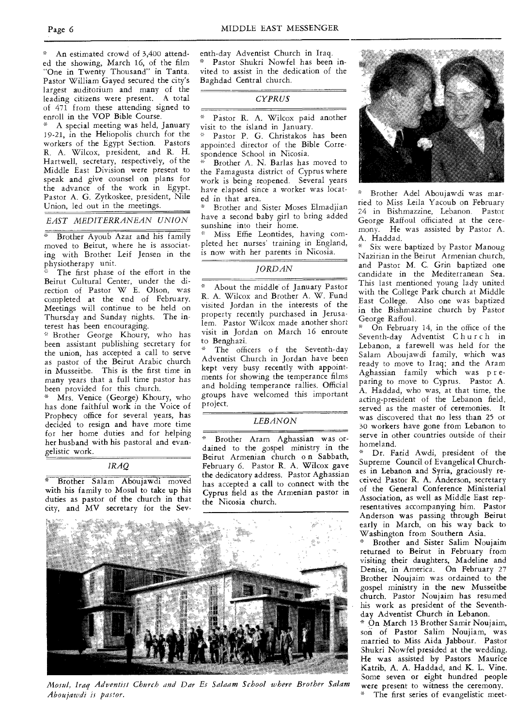An estimated crowd of 3,400 attended the showing, March 16, of the film "One in Twenty Thousand" in Tanta. Pastor William Gayed secured the city's largest auditorium and many of the leading citizens were present. A total of 471 from these attending signed to enroll in the VOP Bible Course.

A special meeting was held, January 19-21, in the Heliopolis church for the workers of the Egypt Section. Pastors R. A. Wilcox, president, and R. H. Hartwell, secretary, respectively, of the Middle East Division were present to speak and give counsel on plans for the advance of the work in Egypt. Pastor A. G. Zytkoskee, president, Nile Union, led out in the meetings.

*EAST MEDITERRANEAN UNION* 

Brother Ayoub Azar and his family moved to Beirut, where he is associating with Brother Leif Jensen in the physiotherapy unit.

The first phase of the effort in the Beirut Cultural Center, under the direction of Pastor W E. Olson, was completed at the end of February. Meetings will continue to be held on Thursday and Sunday nights. The interest has been encouraging.

" Brother George Khoury, who has been assistant publishing secretary for the union, has accepted a call to serve as pastor of the Beirut Arabic church in Musseitbe. This is the first time in many years that a full time pastor has been provided for this church.

Mrs. Venice (George) Khoury, who has done faithful work in the Voice of Prophecy office for several years, has decided to resign and have more time for her home duties and for helping her husband with his pastoral and evangelistic work.

*IRAQ* 

\* Brother Salam Aboujawdi moved with his family to Mosul to take up his duties as pastor of the church in that city, and MV secretary for the Sev-



*CYPRUS* 

• Pastor R. A. Wilcox paid another visit to the island in January.

Pastor P. G. Christakos has been appointed director of the Bible Correspondence School in Nicosia.

Brother A. N. Barlas has moved to the Famagusta district of Cyprus where work is being reopened. Several years have elapsed since a worker was located in that area.

Brother and Sister Moses Elmadjian have a second baby girl to bring added sunshine into their home.

Miss Effie Leontides, having completed her nurses' training in England, is now with her parents in Nicosia.

#### *JORDAN*

About the middle of January Pastor R. A. Wilcox and Brother A. W. Fund visited Jordan in the interests of the property recently purchased in Jerusalem. Pastor Wilcox made another short visit in Jordan on March 16 enroute to Benghazi.

The officers of the Seventh-day Adventist Church in Jordan have been kept very busy recently with appointments for showing the temperance films and holding temperance rallies. Official groups have welcomed this important project.

#### *LEBANON*

Brother Aram Aghassian was ordained to the gospel ministry in the Beirut Armenian church o n Sabbath, February 6. Pastor R. A. Wilcox gave the dedicatory address. Pastor Aghassian has accepted a call to connect with the Cyprus field as the Armenian pastor in the Nicosia church.



*Mosul, Iraq Adventist Church and Dar Es Salaam School where Brother Salam Aboujawdi is pastor.* 



Brother Adel Aboujawdi was married to Miss Leila Yacoub on February 24 in Bishmazzine, Lebanon. Pastor George Raffoul officiated at the ceremony. He was assisted by Pastor A. A. Haddad.

Six were baptized by Pastor Manoug Nazirian in the Beirut Armenian church, and Pastor M. C. Grin baptized one candidate in the Mediterranean Sea. This last mentioned young lady united with the College Park church at Middle East College. Also one was baptized in the Bishmazzine church by Pastor George Raffoul.

\* On February 14, in the office of the Seventh-day Adventist Church in Lebanon, a farewell was held for the Salam Aboujawdi family, which was ready to move to Iraq; and the Aram Aghassian family which was preparing to move to Cyprus. Pastor A. A. Haddad, who was, at that time, the acting-president of the Lebanon field, served as the master of ceremonies. It was discovered that no less than 25 or 30 workers have gone from Lebanon to serve in other countries outside of their homeland.

Dr. Farid Awdi, president of the Supreme Council of Evangelical Churches in Lebanon and Syria, graciously received Pastor R. A. Anderson, secretary of the General Conference Ministerial Association, as well as Middle East representatives accompanying him. Pastor Anderson was passing through Beirut early in March, on his way back to Washington from Southern Asia.

\* Brother and Sister Salim Noujaim returned to Beirut in February from visiting their daughters, Madeline and Denise, in America. On February 27 Brother Noujaim was ordained to the gospel ministry in the new Musseitbe church. Pastor Noujaim has resumed his work as president of the Seventhday Adventist Church in Lebanon.

\* On March 13 Brother Samir Noujaim, son of Pastor Salim Noujiam, was married to Miss Aida Jabbour. Pastor Shukri Nowfel presided at the wedding. He was assisted by Pastors Maurice Katrib, A. A. Haddad, and K. L. Vine. Some seven or eight hundred people were present to witness the ceremony. The first series of evangelistic meet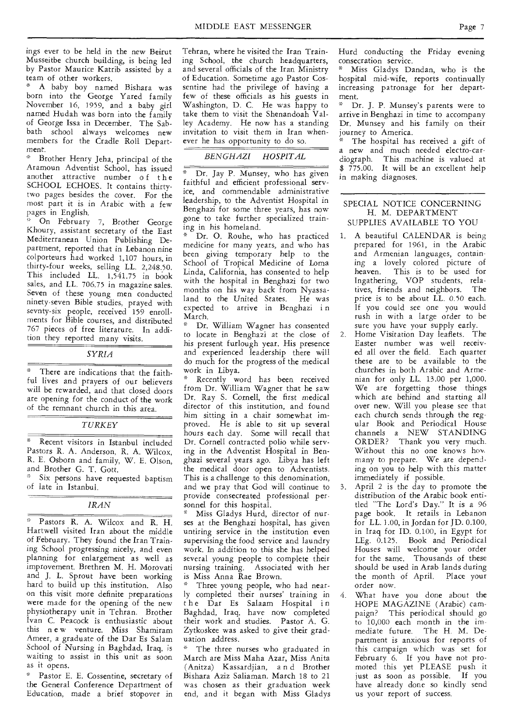ings ever to be held in the new Beirut Musseitbe church building, is being led by Pastor Maurice Katrib assisted by a team of other workers.

" A baby boy named Bishara was born into the George Yared family November 16, 1959, and a baby girl named Hudah was born into the family of George Issa in December. The Sabbath school always welcomes new members for the Cradle Roll Department.

Brother Henry Jeha, principal of the Aramoun Adventist School, has issued another attractive number of the SCHOOL ECHOES. It contains thirtytwo pages besides the cover. For the most part it is in Arabic with a few pages in English.

On February 7, Brother George Khoury, assistant secretary of the East Mediterranean Union Publishing Department, reported that in Lebanon nine colporteurs had worked 1,107 hours, in thirty-four weeks, selling LL. 2,248.50. This included LL.  $1,541.75$  in book sales, and LL. 706.75 in magazine sales. Seven of these young men conducted ninety-seven Bible studies, prayed with sevnty-six people, received 159 enrollments for Bible courses, and distributed 767 pieces of free literature. In addition they reported many visits.

#### *SYRIA*

There are indications that the faithful lives and prayers of our believers will be rewarded, and that closed doors are opening for the conduct of the work of the remnant church in this area.

#### *TURKEY*

Recent visitors in Istanbul included Pastors R. A. Anderson, R. A. Wilcox, R. E. Osborn and family, W. E. Olson, and Brother G. T. Gott.

Six persons have requested baptism of late in Istanbul.

#### *IRAN*

 $\mathcal{H}_{\mathcal{C}}$ Pastors R. A. Wilcox and R. H. Hartwell visited Iran about the middle of February. They found the Iran Training School progressing nicely, and even planning for enlargement as well as improvement. Brethren M. H. Morovati and J. L. Sprout have been working hard to build up this institution. Also on this visit more definite preparations were made for the opening of the new physiotherapy unit in Tehran. Brother Ivan C. Peacock is enthusiastic about this n e w venture. Miss Shamiram Ameer, a graduate of the Dar Es Salam School of Nursing in Baghdad, Iraq, is waiting to assist in this unit as soon as it opens.

Pastor E. E. Cossentine, secretary of the General Conference Department of Education, made a brief stopover in Tehran, where he visited the Iran Training School, the church headquarters, and several officials of the Iran Ministry of Education. Sometime ago Pastor Cossentine had the privilege of having a few of these officials as his guests in Washington, D. C. He was happy to take them to visit the Shenandoah  $Val$ ley Academy. He now has a standing invitation to visit them in Iran whenever he has opportunity to do so.

#### *BENGHAZI HOSPITAL*

Dr. Jay P. Munsey, who has given faithful and efficient professional service, and commendable administrative leadership, to the Adventist Hospital in Benghazi for some three years, has now gone to take further specialized training in his homeland.

• Dr. 0. Rouhe, who has practiced medicine for many years, and who has been giving temporary help to the School of Tropical Medicine of Loma Linda, California, has consented to help with the hospital in Benghazi for two months on his way back from Nyassaland to the United States. He was expected to arrive in Benghazi in March.

Dr. William Wagner has consented to locate in Benghazi at the close of his present furlough year. His presence and experienced leadership there will do much for the progress of the medical work in Libya.

Recently word has been received from Dr. William Wagner that he saw Dr. Ray S. Cornell, the first medical director of this institution, and found him sitting in a chair somewhat improved. He is able to sit up several hours each day. Some will recall that Dr. Cornell contracted polio while serving in the Adventist Hospital in Benghazi several years ago. Libya has left the medical door open to Adventists. This is a challenge to this denomination, and we pray that God will continue to provide consecreated professional personnel for this hospital.

Miss Gladys Hurd, director of nurses at the Benghazi hospital, has given untiring service in the institution even supervising the food service and laundry work. In addition to this she has helped several young people to complete their nursing training. Associated with her is Miss Anna Rae Brown.

Three young people, who had nearly completed their nurses' training in the Dar Es Salaam Hospital in Baghdad, Iraq, have now completed their work and studies. Pastor A. G. Zytkoskee was asked to give their graduation address.

The three nurses who graduated in March are Miss Maha Azar, Miss Anita (Anitza) Kassardjian, a n d Brother Bishara Aziz Saliaman. March 18 to 21 was chosen as their graduation week end, and it began with Miss Gladys Hurd conducting the Friday evening consecration service.

Miss Gladys Dandan, who is the hospital mid-wife, reports continually increasing patronage for her department.

Dr. J. P. Munsey's parents were to arrive in Benghazi in time to accompany Dr. Munsey and his family on their journey to America.

The hospital has received a gift of a new and much needed electro-cardiograph. This machine is valued at \$ 775.00. It will be an excellent help in making diagnoses.

#### SPECIAL NOTICE CONCERNING H. M. DEPARTMENT SUPPLIES AVAILABLE TO YOU

- 1. A beautiful CALENDAR is being prepared for 1961, in the Arabic and Armenian languages, containing a lovely colored picture of heaven. This is to be used for Ingathering, VOP students, relatives, friends and neighbors. The price is to be about LL. 0.50 each. If you could see one you would rush in with a large order to be sure you have your supply early.
- 2. Home Visitation Day leaflets. The Easter number was well received all over the field. Each quarter these are to be available to the churches in both Arabic and Armenian for only LL. 13.00 per 1,000. We are forgetting those things which are behind and starting all over new. Will you please see that each church sends through the regular Book and Periodical House channels a NEW STANDING ORDER? Thank you very much. Without this no one knows hov. many to prepare. We are depending on you to help with this matter immediately if possible.
- April 2 is the day to promote the distribution of the Arabic book entitled "The Lord's Day." It is a 96 page book. It retails in Lebanon for LL. 1.00, in Jordan for JD. 0.100, in Iraq for ID. 0.100, in Egypt for LEg. 0.125. Book and Periodical Houses will welcome your order for the same. Thousands of these should be used in Arab lands during the month of April. Place your order now.
- 4. What have you done about the HOPE MAGAZINE (Arabic) campaign? This periodical should go to 10,000 each month in the immediate future. The H. M. Department is anxious for reports of this campaign which was set for February 6. If you have not promoted this yet PLEASE push it just as soon as possible. If you have already done so kindly send us your report of success.